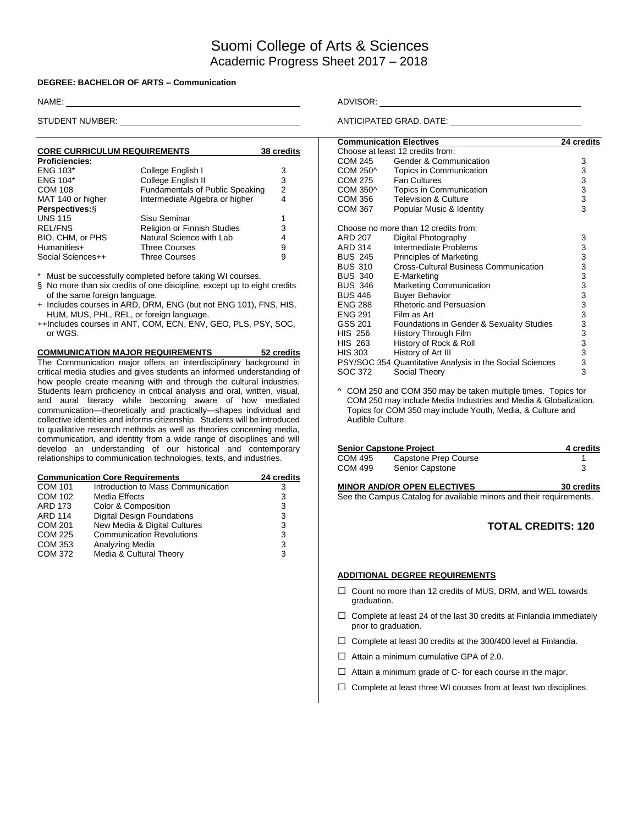# Suomi College of Arts & Sciences Academic Progress Sheet 2017 – 2018

### **DEGREE: BACHELOR OF ARTS – Communication**

| <b>CORE CURRICULUM REQUIREMENTS</b> | 38 credits                             |   |
|-------------------------------------|----------------------------------------|---|
| <b>Proficiencies:</b>               |                                        |   |
| ENG 103*                            | College English I                      | 3 |
| <b>ENG 104*</b>                     | College English II                     | 3 |
| <b>COM 108</b>                      | <b>Fundamentals of Public Speaking</b> | 2 |
| MAT 140 or higher                   | Intermediate Algebra or higher         | 4 |
| Perspectives: §                     |                                        |   |
| <b>UNS 115</b>                      | Sisu Seminar                           |   |
| <b>REL/FNS</b>                      | <b>Religion or Finnish Studies</b>     | 3 |
| BIO, CHM, or PHS                    | Natural Science with Lab               | 4 |
| Humanities+                         | <b>Three Courses</b>                   | 9 |
| Social Sciences++                   | <b>Three Courses</b>                   | 9 |

Must be successfully completed before taking WI courses.

§ No more than six credits of one discipline, except up to eight credits of the same foreign language.

- + Includes courses in ARD, DRM, ENG (but not ENG 101), FNS, HIS, HUM, MUS, PHL, REL, or foreign language.
- ++Includes courses in ANT, COM, ECN, ENV, GEO, PLS, PSY, SOC, or WGS.

## **COMMUNICATION MAJOR REQUIREMENTS 52 credits** The Communication major offers an interdisciplinary background in critical media studies and gives students an informed understanding of how people create meaning with and through the cultural industries.

Students learn proficiency in critical analysis and oral, written, visual, and aural literacy while becoming aware of how mediated communication—theoretically and practically—shapes individual and collective identities and informs citizenship. Students will be introduced to qualitative research methods as well as theories concerning media, communication, and identity from a wide range of disciplines and will develop an understanding of our historical and contemporary relationships to communication technologies, texts, and industries.

| <b>Communication Core Requirements</b> | 24 credits                         |   |
|----------------------------------------|------------------------------------|---|
| <b>COM 101</b>                         | Introduction to Mass Communication | З |
| <b>COM 102</b>                         | <b>Media Effects</b>               | 3 |
| <b>ARD 173</b>                         | Color & Composition                | 3 |
| <b>ARD 114</b>                         | <b>Digital Design Foundations</b>  | 3 |
| <b>COM 201</b>                         | New Media & Digital Cultures       | 3 |
| <b>COM 225</b>                         | <b>Communication Revolutions</b>   | 3 |
| <b>COM 353</b>                         | Analyzing Media                    | 3 |
| <b>COM 372</b>                         | Media & Cultural Theory            | 3 |

NAME: ADVISOR: ADVISOR: ADVISOR: ADVISOR: ADVISOR: ADVISOR: ADVISOR: ADVISOR: ADVISOR: ADVISOR: ADVISOR: ADVISOR: ADVISOR: ADVISOR: ADVISOR: ADVISOR: ADVISOR: ADVISOR: ADVISOR: ADVISOR: ADVISOR: ADVISOR: ADVISOR: ADVISOR:

STUDENT NUMBER: ANTICIPATED GRAD. DATE:

| <b>Communication Electives</b> | 24 credits                                               |                                                   |
|--------------------------------|----------------------------------------------------------|---------------------------------------------------|
|                                | Choose at least 12 credits from:                         |                                                   |
| COM 245                        | Gender & Communication                                   | 3                                                 |
| COM 250^                       | Topics in Communication                                  |                                                   |
| COM 275                        | <b>Fan Cultures</b>                                      |                                                   |
| COM 350^                       | Topics in Communication                                  | $\begin{array}{c}\n3 \\ 3 \\ 3 \\ 3\n\end{array}$ |
| COM 356                        | <b>Television &amp; Culture</b>                          |                                                   |
| <b>COM 367</b>                 | Popular Music & Identity                                 |                                                   |
|                                |                                                          |                                                   |
|                                | Choose no more than 12 credits from:                     |                                                   |
| <b>ARD 207</b>                 | Digital Photography                                      | 3                                                 |
| ARD 314                        | Intermediate Problems                                    |                                                   |
| <b>BUS 245</b>                 | Principles of Marketing                                  |                                                   |
| <b>BUS 310</b>                 | <b>Cross-Cultural Business Communication</b>             |                                                   |
| <b>BUS 340</b>                 | E-Marketing                                              |                                                   |
| <b>BUS 346</b>                 | Marketing Communication                                  |                                                   |
| <b>BUS 446</b>                 | <b>Buyer Behavior</b>                                    |                                                   |
| <b>ENG 288</b>                 | Rhetoric and Persuasion                                  |                                                   |
| <b>ENG 291</b>                 | Film as Art                                              |                                                   |
| GSS 201                        | Foundations in Gender & Sexuality Studies                |                                                   |
| <b>HIS 256</b>                 | History Through Film                                     |                                                   |
| <b>HIS 263</b>                 | History of Rock & Roll                                   |                                                   |
| HIS 303                        | History of Art III                                       |                                                   |
|                                | PSY/SOC 354 Quantitative Analysis in the Social Sciences | 33333333333333333                                 |
| SOC 372                        | Social Theory                                            |                                                   |

^ COM 250 and COM 350 may be taken multiple times. Topics for COM 250 may include Media Industries and Media & Globalization. Topics for COM 350 may include Youth, Media, & Culture and Audible Culture.

|         | <b>Senior Capstone Project</b> | 4 credits |
|---------|--------------------------------|-----------|
| COM 495 | Capstone Prep Course           |           |
| COM 499 | Senior Capstone                |           |

#### **MINOR AND/OR OPEN ELECTIVES 30 credits**

See the Campus Catalog for available minors and their requirements.

# **TOTAL CREDITS: 120**

#### **ADDITIONAL DEGREE REQUIREMENTS**

- □ Count no more than 12 credits of MUS, DRM, and WEL towards graduation.
- $\Box$  Complete at least 24 of the last 30 credits at Finlandia immediately prior to graduation.
- $\Box$  Complete at least 30 credits at the 300/400 level at Finlandia.
- $\Box$  Attain a minimum cumulative GPA of 2.0.
- $\Box$  Attain a minimum grade of C- for each course in the major.
- $\Box$  Complete at least three WI courses from at least two disciplines.